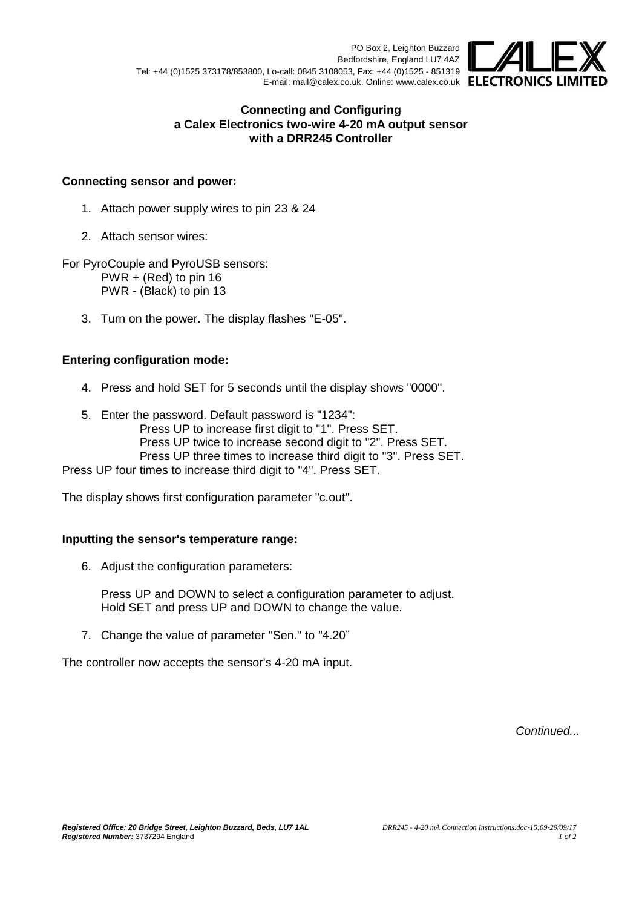PO Box 2, Leighton Buzzard Bedfordshire, England LU7 4AZ Tel: +44 (0)1525 373178/853800, Lo-call: 0845 3108053, Fax: +44 (0)1525 - 851319 E-mail: mail@calex.co.uk, Online: www.calex.co.uk ELECTRONICS LIN



### **Connecting and Configuring a Calex Electronics two-wire 4-20 mA output sensor with a DRR245 Controller**

## **Connecting sensor and power:**

- 1. Attach power supply wires to pin 23 & 24
- 2. Attach sensor wires:

For PyroCouple and PyroUSB sensors: PWR + (Red) to pin 16 PWR - (Black) to pin 13

3. Turn on the power. The display flashes "E-05".

### **Entering configuration mode:**

- 4. Press and hold SET for 5 seconds until the display shows "0000".
- 5. Enter the password. Default password is "1234":
	- Press UP to increase first digit to "1". Press SET.
	- Press UP twice to increase second digit to "2". Press SET.
	- Press UP three times to increase third digit to "3". Press SET.

Press UP four times to increase third digit to "4". Press SET.

The display shows first configuration parameter "c.out".

# **Inputting the sensor's temperature range:**

6. Adjust the configuration parameters:

Press UP and DOWN to select a configuration parameter to adjust. Hold SET and press UP and DOWN to change the value.

7. Change the value of parameter "Sen." to "4.20"

The controller now accepts the sensor's 4-20 mA input.

*Continued...*